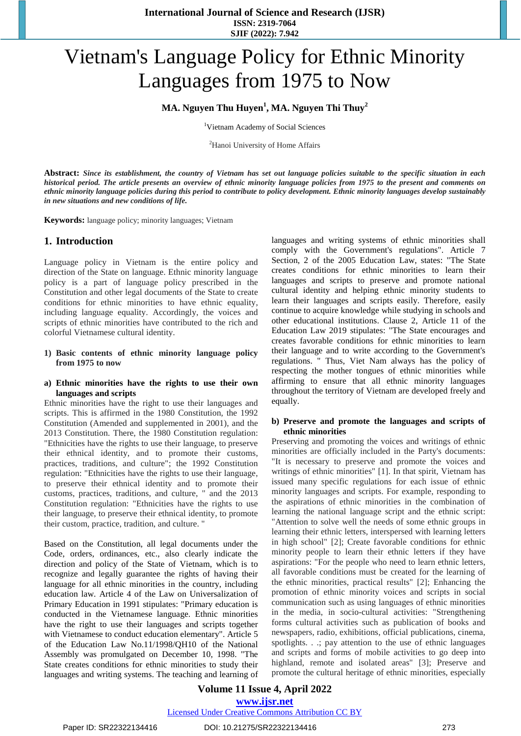# Vietnam's Language Policy for Ethnic Minority Languages from 1975 to Now

# **MA. Nguyen Thu Huyen<sup>1</sup> , MA. Nguyen Thi Thuy<sup>2</sup>**

<sup>1</sup>Vietnam Academy of Social Sciences

<sup>2</sup>Hanoi University of Home Affairs

Abstract: Since its establishment, the country of Vietnam has set out language policies suitable to the specific situation in each historical period. The article presents an overview of ethnic minority language policies from 1975 to the present and comments on ethnic minority language policies during this period to contribute to policy development. Ethnic minority languages develop sustainably *in new situations and new conditions of life.* 

**Keywords:** language policy; minority languages; Vietnam

# **1. Introduction**

Language policy in Vietnam is the entire policy and direction of the State on language. Ethnic minority language policy is a part of language policy prescribed in the Constitution and other legal documents of the State to create conditions for ethnic minorities to have ethnic equality, including language equality. Accordingly, the voices and scripts of ethnic minorities have contributed to the rich and colorful Vietnamese cultural identity.

**1) Basic contents of ethnic minority language policy from 1975 to now**

#### **a) Ethnic minorities have the rights to use their own languages and scripts**

Ethnic minorities have the right to use their languages and scripts. This is affirmed in the 1980 Constitution, the 1992 Constitution (Amended and supplemented in 2001), and the 2013 Constitution. There, the 1980 Constitution regulation: "Ethnicities have the rights to use their language, to preserve their ethnical identity, and to promote their customs, practices, traditions, and culture"; the 1992 Constitution regulation: "Ethnicities have the rights to use their language, to preserve their ethnical identity and to promote their customs, practices, traditions, and culture, " and the 2013 Constitution regulation: "Ethnicities have the rights to use their language, to preserve their ethnical identity, to promote their custom, practice, tradition, and culture. "

Based on the Constitution, all legal documents under the Code, orders, ordinances, etc., also clearly indicate the direction and policy of the State of Vietnam, which is to recognize and legally guarantee the rights of having their language for all ethnic minorities in the country, including education law. Article 4 of the Law on Universalization of Primary Education in 1991 stipulates: "Primary education is conducted in the Vietnamese language. Ethnic minorities have the right to use their languages and scripts together with Vietnamese to conduct education elementary". Article 5 of the Education Law No.11/1998/QH10 of the National Assembly was promulgated on December 10, 1998. "The State creates conditions for ethnic minorities to study their languages and writing systems. The teaching and learning of languages and writing systems of ethnic minorities shall comply with the Government's regulations". Article 7 Section, 2 of the 2005 Education Law, states: "The State creates conditions for ethnic minorities to learn their languages and scripts to preserve and promote national cultural identity and helping ethnic minority students to learn their languages and scripts easily. Therefore, easily continue to acquire knowledge while studying in schools and other educational institutions. Clause 2, Article 11 of the Education Law 2019 stipulates: "The State encourages and creates favorable conditions for ethnic minorities to learn their language and to write according to the Government's regulations. " Thus, Viet Nam always has the policy of respecting the mother tongues of ethnic minorities while affirming to ensure that all ethnic minority languages throughout the territory of Vietnam are developed freely and equally.

#### **b) Preserve and promote the languages and scripts of ethnic minorities**

Preserving and promoting the voices and writings of ethnic minorities are officially included in the Party's documents: "It is necessary to preserve and promote the voices and writings of ethnic minorities" [1]. In that spirit, Vietnam has issued many specific regulations for each issue of ethnic minority languages and scripts. For example, responding to the aspirations of ethnic minorities in the combination of learning the national language script and the ethnic script: "Attention to solve well the needs of some ethnic groups in learning their ethnic letters, interspersed with learning letters in high school" [2]; Create favorable conditions for ethnic minority people to learn their ethnic letters if they have aspirations: "For the people who need to learn ethnic letters, all favorable conditions must be created for the learning of the ethnic minorities, practical results" [2]; Enhancing the promotion of ethnic minority voices and scripts in social communication such as using languages of ethnic minorities in the media, in socio-cultural activities: "Strengthening forms cultural activities such as publication of books and newspapers, radio, exhibitions, official publications, cinema, spotlights. . .; pay attention to the use of ethnic languages and scripts and forms of mobile activities to go deep into highland, remote and isolated areas" [3]; Preserve and promote the cultural heritage of ethnic minorities, especially

**Volume 11 Issue 4, April 2022 www.ijsr.net**

Licensed Under Creative Commons Attribution CC BY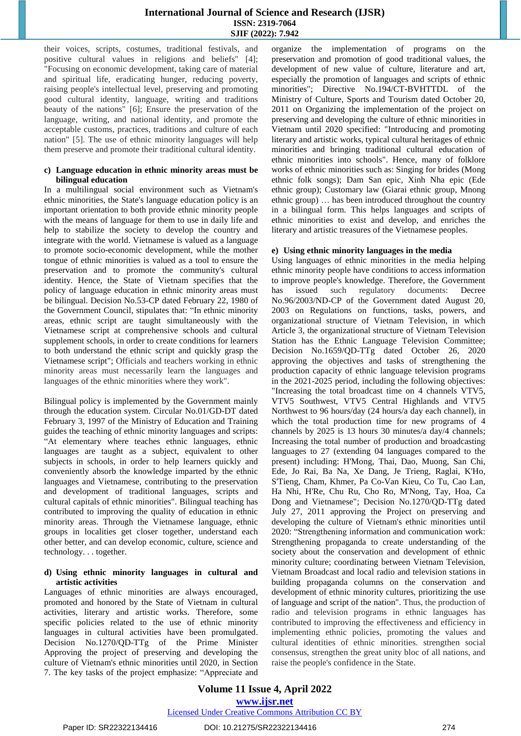# **International Journal of Science and Research (IJSR) ISSN: 2319-7064 SJIF (2022): 7.942**

their voices, scripts, costumes, traditional festivals, and positive cultural values in religions and beliefs" [4]; "Focusing on economic development, taking care of material and spiritual life, eradicating hunger, reducing poverty, raising people's intellectual level, preserving and promoting good cultural identity, language, writing and traditions beauty of the nations" [6]; Ensure the preservation of the language, writing, and national identity, and promote the acceptable customs, practices, traditions and culture of each nation" [5]. The use of ethnic minority languages will help them preserve and promote their traditional cultural identity.

#### **c) Language education in ethnic minority areas must be bilingual education**

In a multilingual social environment such as Vietnam's ethnic minorities, the State's language education policy is an important orientation to both provide ethnic minority people with the means of language for them to use in daily life and help to stabilize the society to develop the country and integrate with the world. Vietnamese is valued as a language to promote socio-economic development, while the mother tongue of ethnic minorities is valued as a tool to ensure the preservation and to promote the community's cultural identity. Hence, the State of Vietnam specifies that the policy of language education in ethnic minority areas must be bilingual. Decision No.53-CP dated February 22, 1980 of the Government Council, stipulates that: "In ethnic minority areas, ethnic script are taught simultaneously with the Vietnamese script at comprehensive schools and cultural supplement schools, in order to create conditions for learners to both understand the ethnic script and quickly grasp the Vietnamese script"; Officials and teachers working in ethnic minority areas must necessarily learn the languages and languages of the ethnic minorities where they work".

Bilingual policy is implemented by the Government mainly through the education system. Circular No.01/GD-DT dated February 3, 1997 of the Ministry of Education and Training guides the teaching of ethnic minority languages and scripts: "At elementary where teaches ethnic languages, ethnic languages are taught as a subject, equivalent to other subjects in schools, in order to help learners quickly and conveniently absorb the knowledge imparted by the ethnic languages and Vietnamese, contributing to the preservation and development of traditional languages, scripts and cultural capitals of ethnic minorities". Bilingual teaching has contributed to improving the quality of education in ethnic minority areas. Through the Vietnamese language, ethnic groups in localities get closer together, understand each other better, and can develop economic, culture, science and technology. . . together.

#### **d) Using ethnic minority languages in cultural and artistic activities**

Languages of ethnic minorities are always encouraged, promoted and honored by the State of Vietnam in cultural activities, literary and artistic works. Therefore, some specific policies related to the use of ethnic minority languages in cultural activities have been promulgated. Decision No.1270/QD-TTg of the Prime Minister Approving the project of preserving and developing the culture of Vietnam's ethnic minorities until 2020, in Section 7. The key tasks of the project emphasize: "Appreciate and organize the implementation of programs on the preservation and promotion of good traditional values, the development of new value of culture, literature and art, especially the promotion of languages and scripts of ethnic minorities"; Directive No.194/CT-BVHTTDL of the Ministry of Culture, Sports and Tourism dated October 20, 2011 on Organizing the implementation of the project on preserving and developing the culture of ethnic minorities in Vietnam until 2020 specified: "Introducing and promoting literary and artistic works, typical cultural heritages of ethnic minorities and bringing traditional cultural education of ethnic minorities into schools". Hence, many of folklore works of ethnic minorities such as: Singing for brides (Mong ethnic folk songs); Dam San epic, Xinh Nha epic (Ede ethnic group); Customary law (Giarai ethnic group, Mnong ethnic group) … has been introduced throughout the country in a bilingual form. This helps languages and scripts of ethnic minorities to exist and develop, and enriches the literary and artistic treasures of the Vietnamese peoples.

### **e) Using ethnic minority languages in the media**

Using languages of ethnic minorities in the media helping ethnic minority people have conditions to access information to improve people's knowledge. Therefore, the Government has issued such regulatory documents: Decree No.96/2003/ND-CP of the Government dated August 20, 2003 on Regulations on functions, tasks, powers, and organizational structure of Vietnam Television, in which Article 3, the organizational structure of Vietnam Television Station has the Ethnic Language Television Committee; Decision No.1659/QD-TTg dated October 26, 2020 approving the objectives and tasks of strengthening the production capacity of ethnic language television programs in the 2021-2025 period, including the following objectives: "Increasing the total broadcast time on 4 channels VTV5, VTV5 Southwest, VTV5 Central Highlands and VTV5 Northwest to 96 hours/day (24 hours/a day each channel), in which the total production time for new programs of 4 channels by 2025 is 13 hours 30 minutes/a day/4 channels; Increasing the total number of production and broadcasting languages to 27 (extending 04 languages compared to the present) including: H'Mong, Thai, Dao, Muong, San Chi, Ede, Jo Rai, Ba Na, Xe Dang, Je Trieng, Raglai, K'Ho, S'Tieng, Cham, Khmer, Pa Co-Van Kieu, Co Tu, Cao Lan, Ha Nhi, H'Re, Chu Ru, Cho Ro, M'Nong, Tay, Hoa, Ca Dong and Vietnamese"; Decision No.1270/QD-TTg dated July 27, 2011 approving the Project on preserving and developing the culture of Vietnam's ethnic minorities until 2020: "Strengthening information and communication work: Strengthening propaganda to create understanding of the society about the conservation and development of ethnic minority culture; coordinating between Vietnam Television, Vietnam Broadcast and local radio and television stations in building propaganda columns on the conservation and development of ethnic minority cultures, prioritizing the use of language and script of the nation". Thus, the production of radio and television programs in ethnic languages has contributed to improving the effectiveness and efficiency in implementing ethnic policies, promoting the values and cultural identities of ethnic minorities. strengthen social consensus, strengthen the great unity bloc of all nations, and raise the people's confidence in the State.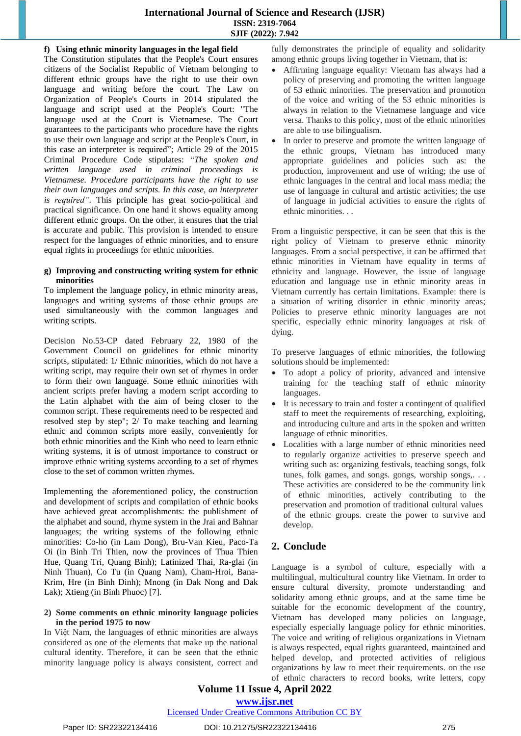# **International Journal of Science and Research (IJSR) ISSN: 2319-7064 SJIF (2022): 7.942**

### **f) Using ethnic minority languages in the legal field**

The Constitution stipulates that the People's Court ensures citizens of the Socialist Republic of Vietnam belonging to different ethnic groups have the right to use their own language and writing before the court. The Law on Organization of People's Courts in 2014 stipulated the language and script used at the People's Court: "The language used at the Court is Vietnamese. The Court guarantees to the participants who procedure have the rights to use their own language and script at the People's Court, in this case an interpreter is required"; Article 29 of the 2015 Criminal Procedure Code stipulates: "*The spoken and written language used in criminal proceedings is Vietnamese. Procedure participants have the right to use their own languages and scripts. In this case, an interpreter is required".* This principle has great socio-political and practical significance. On one hand it shows equality among different ethnic groups. On the other, it ensures that the trial is accurate and public. This provision is intended to ensure respect for the languages of ethnic minorities, and to ensure equal rights in proceedings for ethnic minorities.

#### **g) Improving and constructing writing system for ethnic minorities**

To implement the language policy, in ethnic minority areas, languages and writing systems of those ethnic groups are used simultaneously with the common languages and writing scripts.

Decision No.53-CP dated February 22, 1980 of the Government Council on guidelines for ethnic minority scripts, stipulated: 1/ Ethnic minorities, which do not have a writing script, may require their own set of rhymes in order to form their own language. Some ethnic minorities with ancient scripts prefer having a modern script according to the Latin alphabet with the aim of being closer to the common script. These requirements need to be respected and resolved step by step"; 2/ To make teaching and learning ethnic and common scripts more easily, conveniently for both ethnic minorities and the Kinh who need to learn ethnic writing systems, it is of utmost importance to construct or improve ethnic writing systems according to a set of rhymes close to the set of common written rhymes.

Implementing the aforementioned policy, the construction and development of scripts and compilation of ethnic books have achieved great accomplishments: the publishment of the alphabet and sound, rhyme system in the Jrai and Bahnar languages; the writing systems of the following ethnic minorities: Co-ho (in Lam Dong), Bru-Van Kieu, Paco-Ta Oi (in Binh Tri Thien, now the provinces of Thua Thien Hue, Quang Tri, Quang Binh); Latinized Thai, Ra-glai (in Ninh Thuan), Co Tu (in Quang Nam), Cham-Hroi, Bana-Krim, Hre (in Binh Dinh); Mnong (in Dak Nong and Dak Lak); Xtieng (in Binh Phuoc) [7].

#### **2) Some comments on ethnic minority language policies in the period 1975 to now**

In Việt Nam, the languages of ethnic minorities are always considered as one of the elements that make up the national cultural identity. Therefore, it can be seen that the ethnic minority language policy is always consistent, correct and fully demonstrates the principle of equality and solidarity among ethnic groups living together in Vietnam, that is:

- Affirming language equality: Vietnam has always had a policy of preserving and promoting the written language of 53 ethnic minorities. The preservation and promotion of the voice and writing of the 53 ethnic minorities is always in relation to the Vietnamese language and vice versa. Thanks to this policy, most of the ethnic minorities are able to use bilingualism.
- In order to preserve and promote the written language of the ethnic groups, Vietnam has introduced many appropriate guidelines and policies such as: the production, improvement and use of writing; the use of ethnic languages in the central and local mass media; the use of language in cultural and artistic activities; the use of language in judicial activities to ensure the rights of ethnic minorities. . .

From a linguistic perspective, it can be seen that this is the right policy of Vietnam to preserve ethnic minority languages. From a social perspective, it can be affirmed that ethnic minorities in Vietnam have equality in terms of ethnicity and language. However, the issue of language education and language use in ethnic minority areas in Vietnam currently has certain limitations. Example: there is a situation of writing disorder in ethnic minority areas; Policies to preserve ethnic minority languages are not specific, especially ethnic minority languages at risk of dying.

To preserve languages of ethnic minorities, the following solutions should be implemented:

- To adopt a policy of priority, advanced and intensive training for the teaching staff of ethnic minority languages.
- It is necessary to train and foster a contingent of qualified staff to meet the requirements of researching, exploiting, and introducing culture and arts in the spoken and written language of ethnic minorities.
- Localities with a large number of ethnic minorities need to regularly organize activities to preserve speech and writing such as: organizing festivals, teaching songs, folk tunes, folk games, and songs. gongs, worship songs,. . . These activities are considered to be the community link of ethnic minorities, actively contributing to the preservation and promotion of traditional cultural values of the ethnic groups. create the power to survive and develop.

# **2. Conclude**

Language is a symbol of culture, especially with a multilingual, multicultural country like Vietnam. In order to ensure cultural diversity, promote understanding and solidarity among ethnic groups, and at the same time be suitable for the economic development of the country, Vietnam has developed many policies on language, especially especially language policy for ethnic minorities. The voice and writing of religious organizations in Vietnam is always respected, equal rights guaranteed, maintained and helped develop, and protected activities of religious organizations by law to meet their requirements. on the use of ethnic characters to record books, write letters, copy

**Volume 11 Issue 4, April 2022 www.ijsr.net**

Licensed Under Creative Commons Attribution CC BY